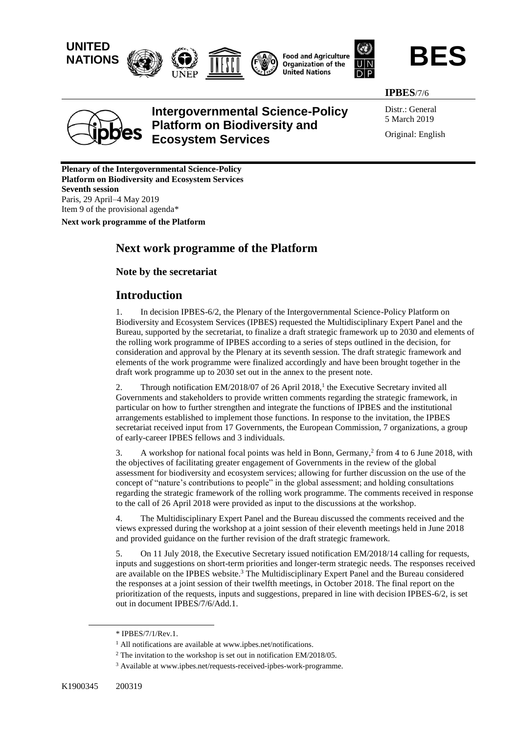







**IPBES**/7/6



# **Intergovernmental Science-Policy Platform on Biodiversity and Ecosystem Services**

Distr.: General 5 March 2019 Original: English

**Plenary of the Intergovernmental Science-Policy Platform on Biodiversity and Ecosystem Services Seventh session** Paris, 29 April–4 May 2019 Item 9 of the provisional agenda\*

**Next work programme of the Platform**

## **Next work programme of the Platform**

**Note by the secretariat**

## **Introduction**

1. In decision IPBES-6/2, the Plenary of the Intergovernmental Science-Policy Platform on Biodiversity and Ecosystem Services (IPBES) requested the Multidisciplinary Expert Panel and the Bureau, supported by the secretariat, to finalize a draft strategic framework up to 2030 and elements of the rolling work programme of IPBES according to a series of steps outlined in the decision, for consideration and approval by the Plenary at its seventh session. The draft strategic framework and elements of the work programme were finalized accordingly and have been brought together in the draft work programme up to 2030 set out in the annex to the present note.

2. Through notification EM/2018/07 of 26 April 2018,<sup>1</sup> the Executive Secretary invited all Governments and stakeholders to provide written comments regarding the strategic framework, in particular on how to further strengthen and integrate the functions of IPBES and the institutional arrangements established to implement those functions. In response to the invitation, the IPBES secretariat received input from 17 Governments, the European Commission, 7 organizations, a group of early-career IPBES fellows and 3 individuals.

3. A workshop for national focal points was held in Bonn, Germany, $\frac{2}{7}$  from 4 to 6 June 2018, with the objectives of facilitating greater engagement of Governments in the review of the global assessment for biodiversity and ecosystem services; allowing for further discussion on the use of the concept of "nature's contributions to people" in the global assessment; and holding consultations regarding the strategic framework of the rolling work programme. The comments received in response to the call of 26 April 2018 were provided as input to the discussions at the workshop.

4. The Multidisciplinary Expert Panel and the Bureau discussed the comments received and the views expressed during the workshop at a joint session of their eleventh meetings held in June 2018 and provided guidance on the further revision of the draft strategic framework.

5. On 11 July 2018, the Executive Secretary issued notification EM/2018/14 calling for requests, inputs and suggestions on short-term priorities and longer-term strategic needs. The responses received are available on the IPBES website.<sup>3</sup> The Multidisciplinary Expert Panel and the Bureau considered the responses at a joint session of their twelfth meetings, in October 2018. The final report on the prioritization of the requests, inputs and suggestions, prepared in line with decision IPBES-6/2, is set out in document IPBES/7/6/Add.1.

<sup>\*</sup> IPBES/7/1/Rev.1.

<sup>&</sup>lt;sup>1</sup> All notifications are available at www.ipbes.net/notifications.

<sup>&</sup>lt;sup>2</sup> The invitation to the workshop is set out in notification EM/2018/05.

<sup>3</sup> Available at [www.ipbes.net/requests-received-ipbes-work-programme.](https://www.ipbes.net/requests-received-ipbes-work-programme)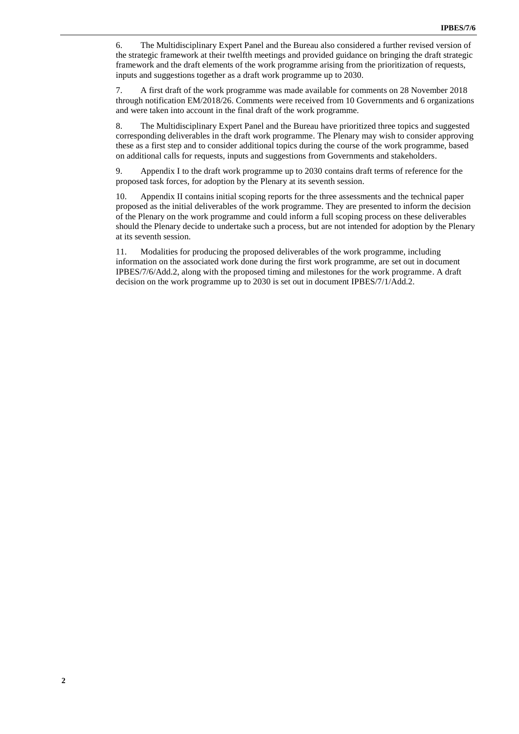6. The Multidisciplinary Expert Panel and the Bureau also considered a further revised version of the strategic framework at their twelfth meetings and provided guidance on bringing the draft strategic framework and the draft elements of the work programme arising from the prioritization of requests, inputs and suggestions together as a draft work programme up to 2030.

7. A first draft of the work programme was made available for comments on 28 November 2018 through notification EM/2018/26. Comments were received from 10 Governments and 6 organizations and were taken into account in the final draft of the work programme.

8. The Multidisciplinary Expert Panel and the Bureau have prioritized three topics and suggested corresponding deliverables in the draft work programme. The Plenary may wish to consider approving these as a first step and to consider additional topics during the course of the work programme, based on additional calls for requests, inputs and suggestions from Governments and stakeholders.

9. Appendix I to the draft work programme up to 2030 contains draft terms of reference for the proposed task forces, for adoption by the Plenary at its seventh session.

10. Appendix II contains initial scoping reports for the three assessments and the technical paper proposed as the initial deliverables of the work programme. They are presented to inform the decision of the Plenary on the work programme and could inform a full scoping process on these deliverables should the Plenary decide to undertake such a process, but are not intended for adoption by the Plenary at its seventh session.

11. Modalities for producing the proposed deliverables of the work programme, including information on the associated work done during the first work programme, are set out in document IPBES/7/6/Add.2, along with the proposed timing and milestones for the work programme. A draft decision on the work programme up to 2030 is set out in document IPBES/7/1/Add.2.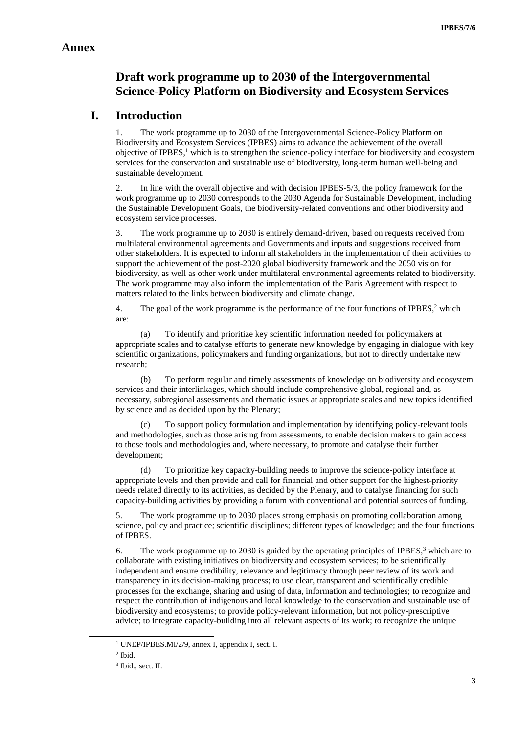### **Annex**

# **Draft work programme up to 2030 of the Intergovernmental Science-Policy Platform on Biodiversity and Ecosystem Services**

## **I. Introduction**

1. The work programme up to 2030 of the Intergovernmental Science-Policy Platform on Biodiversity and Ecosystem Services (IPBES) aims to advance the achievement of the overall objective of IPBES, <sup>1</sup> which is to strengthen the science-policy interface for biodiversity and ecosystem services for the conservation and sustainable use of biodiversity, long-term human well-being and sustainable development.

2. In line with the overall objective and with decision IPBES-5/3, the policy framework for the work programme up to 2030 corresponds to the 2030 Agenda for Sustainable Development, including the Sustainable Development Goals, the biodiversity-related conventions and other biodiversity and ecosystem service processes.

3. The work programme up to 2030 is entirely demand-driven, based on requests received from multilateral environmental agreements and Governments and inputs and suggestions received from other stakeholders. It is expected to inform all stakeholders in the implementation of their activities to support the achievement of the post-2020 global biodiversity framework and the 2050 vision for biodiversity, as well as other work under multilateral environmental agreements related to biodiversity. The work programme may also inform the implementation of the Paris Agreement with respect to matters related to the links between biodiversity and climate change.

4. The goal of the work programme is the performance of the four functions of IPBES, $2$  which are:

(a) To identify and prioritize key scientific information needed for policymakers at appropriate scales and to catalyse efforts to generate new knowledge by engaging in dialogue with key scientific organizations, policymakers and funding organizations, but not to directly undertake new research;

(b) To perform regular and timely assessments of knowledge on biodiversity and ecosystem services and their interlinkages, which should include comprehensive global, regional and, as necessary, subregional assessments and thematic issues at appropriate scales and new topics identified by science and as decided upon by the Plenary;

(c) To support policy formulation and implementation by identifying policy-relevant tools and methodologies, such as those arising from assessments, to enable decision makers to gain access to those tools and methodologies and, where necessary, to promote and catalyse their further development;

(d) To prioritize key capacity-building needs to improve the science-policy interface at appropriate levels and then provide and call for financial and other support for the highest-priority needs related directly to its activities, as decided by the Plenary, and to catalyse financing for such capacity-building activities by providing a forum with conventional and potential sources of funding.

5. The work programme up to 2030 places strong emphasis on promoting collaboration among science, policy and practice; scientific disciplines; different types of knowledge; and the four functions of IPBES.

6. The work programme up to 2030 is guided by the operating principles of IPBES, $3$  which are to collaborate with existing initiatives on biodiversity and ecosystem services; to be scientifically independent and ensure credibility, relevance and legitimacy through peer review of its work and transparency in its decision-making process; to use clear, transparent and scientifically credible processes for the exchange, sharing and using of data, information and technologies; to recognize and respect the contribution of indigenous and local knowledge to the conservation and sustainable use of biodiversity and ecosystems; to provide policy-relevant information, but not policy-prescriptive advice; to integrate capacity-building into all relevant aspects of its work; to recognize the unique

<sup>1</sup> UNEP/IPBES.MI/2/9, annex I, appendix I, sect. I.

<sup>2</sup> Ibid.

<sup>3</sup> Ibid., sect. II.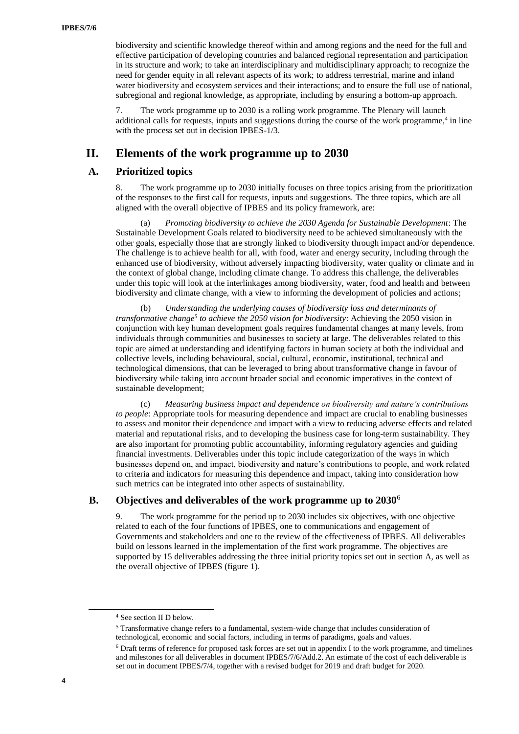biodiversity and scientific knowledge thereof within and among regions and the need for the full and effective participation of developing countries and balanced regional representation and participation in its structure and work; to take an interdisciplinary and multidisciplinary approach; to recognize the need for gender equity in all relevant aspects of its work; to address terrestrial, marine and inland water biodiversity and ecosystem services and their interactions; and to ensure the full use of national, subregional and regional knowledge, as appropriate, including by ensuring a bottom-up approach.

7. The work programme up to 2030 is a rolling work programme. The Plenary will launch additional calls for requests, inputs and suggestions during the course of the work programme,<sup>4</sup> in line with the process set out in decision IPBES-1/3.

## **II. Elements of the work programme up to 2030**

### **A. Prioritized topics**

8. The work programme up to 2030 initially focuses on three topics arising from the prioritization of the responses to the first call for requests, inputs and suggestions. The three topics, which are all aligned with the overall objective of IPBES and its policy framework, are:

(a) *Promoting biodiversity to achieve the 2030 Agenda for Sustainable Development*: The Sustainable Development Goals related to biodiversity need to be achieved simultaneously with the other goals, especially those that are strongly linked to biodiversity through impact and/or dependence. The challenge is to achieve health for all, with food, water and energy security, including through the enhanced use of biodiversity, without adversely impacting biodiversity, water quality or climate and in the context of global change, including climate change. To address this challenge, the deliverables under this topic will look at the interlinkages among biodiversity, water, food and health and between biodiversity and climate change, with a view to informing the development of policies and actions;

(b) *Understanding the underlying causes of biodiversity loss and determinants of transformative change<sup>5</sup> to achieve the 2050 vision for biodiversity*: Achieving the 2050 vision in conjunction with key human development goals requires fundamental changes at many levels, from individuals through communities and businesses to society at large. The deliverables related to this topic are aimed at understanding and identifying factors in human society at both the individual and collective levels, including behavioural, social, cultural, economic, institutional, technical and technological dimensions, that can be leveraged to bring about transformative change in favour of biodiversity while taking into account broader social and economic imperatives in the context of sustainable development;

(c) *Measuring business impact and dependence on biodiversity and nature's contributions to people*: Appropriate tools for measuring dependence and impact are crucial to enabling businesses to assess and monitor their dependence and impact with a view to reducing adverse effects and related material and reputational risks, and to developing the business case for long-term sustainability. They are also important for promoting public accountability, informing regulatory agencies and guiding financial investments. Deliverables under this topic include categorization of the ways in which businesses depend on, and impact, biodiversity and nature's contributions to people, and work related to criteria and indicators for measuring this dependence and impact, taking into consideration how such metrics can be integrated into other aspects of sustainability.

### **B. Objectives and deliverables of the work programme up to 2030**<sup>6</sup>

9. The work programme for the period up to 2030 includes six objectives, with one objective related to each of the four functions of IPBES, one to communications and engagement of Governments and stakeholders and one to the review of the effectiveness of IPBES. All deliverables build on lessons learned in the implementation of the first work programme. The objectives are supported by 15 deliverables addressing the three initial priority topics set out in section A, as well as the overall objective of IPBES (figure 1).

<sup>4</sup> See section II D below.

<sup>5</sup> Transformative change refers to a fundamental, system-wide change that includes consideration of technological, economic and social factors, including in terms of paradigms, goals and values.

<sup>6</sup> Draft terms of reference for proposed task forces are set out in appendix I to the work programme, and timelines and milestones for all deliverables in document IPBES/7/6/Add.2. An estimate of the cost of each deliverable is set out in document IPBES/7/4, together with a revised budget for 2019 and draft budget for 2020.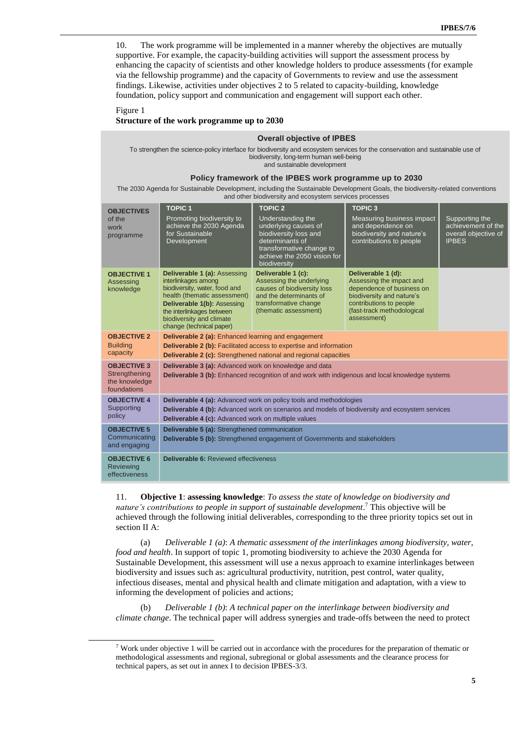10. The work programme will be implemented in a manner whereby the objectives are mutually supportive. For example, the capacity-building activities will support the assessment process by enhancing the capacity of scientists and other knowledge holders to produce assessments (for example via the fellowship programme) and the capacity of Governments to review and use the assessment findings. Likewise, activities under objectives 2 to 5 related to capacity-building, knowledge foundation, policy support and communication and engagement will support each other.

#### Figure 1 **Structure of the work programme up to 2030**

#### **Overall objective of IPBES**

To strengthen the science-policy interface for biodiversity and ecosystem services for the conservation and sustainable use of biodiversity, long-term human well-being and sustainable development

#### **Policy framework of the IPBES work programme up to 2030**

The 2030 Agenda for Sustainable Development, including the Sustainable Development Goals, the biodiversity-related conventions and other biodiversity and ecosystem services processes

| <b>OBJECTIVES</b>                                                   | <b>TOPIC1</b>                                                                                                                                                                                                                                   | <b>TOPIC 2</b>                                                                                                                                                   | <b>TOPIC 3</b>                                                                                                                                                                   |                                                                              |
|---------------------------------------------------------------------|-------------------------------------------------------------------------------------------------------------------------------------------------------------------------------------------------------------------------------------------------|------------------------------------------------------------------------------------------------------------------------------------------------------------------|----------------------------------------------------------------------------------------------------------------------------------------------------------------------------------|------------------------------------------------------------------------------|
| of the<br>work<br>programme                                         | Promoting biodiversity to<br>achieve the 2030 Agenda<br>for Sustainable<br>Development                                                                                                                                                          | Understanding the<br>underlying causes of<br>biodiversity loss and<br>determinants of<br>transformative change to<br>achieve the 2050 vision for<br>biodiversity | Measuring business impact<br>and dependence on<br>biodiversity and nature's<br>contributions to people                                                                           | Supporting the<br>achievement of the<br>overall objective of<br><b>IPBES</b> |
| <b>OBJECTIVE 1</b><br>Assessing<br>knowledge                        | <b>Deliverable 1 (a): Assessing</b><br>interlinkages among<br>biodiversity, water, food and<br>health (thematic assessment)<br>Deliverable 1(b): Assessing<br>the interlinkages between<br>biodiversity and climate<br>change (technical paper) | Deliverable 1 (c):<br>Assessing the underlying<br>causes of biodiversity loss<br>and the determinants of<br>transformative change<br>(thematic assessment)       | Deliverable 1 (d):<br>Assessing the impact and<br>dependence of business on<br>biodiversity and nature's<br>contributions to people<br>(fast-track methodological<br>assessment) |                                                                              |
| <b>OBJECTIVE 2</b><br><b>Building</b><br>capacity                   | <b>Deliverable 2 (a):</b> Enhanced learning and engagement<br><b>Deliverable 2 (b):</b> Facilitated access to expertise and information<br><b>Deliverable 2 (c):</b> Strengthened national and regional capacities                              |                                                                                                                                                                  |                                                                                                                                                                                  |                                                                              |
| <b>OBJECTIVE 3</b><br>Strengthening<br>the knowledge<br>foundations | Deliverable 3 (a): Advanced work on knowledge and data<br><b>Deliverable 3 (b):</b> Enhanced recognition of and work with indigenous and local knowledge systems                                                                                |                                                                                                                                                                  |                                                                                                                                                                                  |                                                                              |
| <b>OBJECTIVE 4</b><br>Supporting<br>policy                          | <b>Deliverable 4 (a):</b> Advanced work on policy tools and methodologies<br>Deliverable 4 (b): Advanced work on scenarios and models of biodiversity and ecosystem services<br>Deliverable 4 (c): Advanced work on multiple values             |                                                                                                                                                                  |                                                                                                                                                                                  |                                                                              |
| <b>OBJECTIVE 5</b><br>Communicating<br>and engaging                 | Deliverable 5 (a): Strengthened communication<br>Deliverable 5 (b): Strengthened engagement of Governments and stakeholders                                                                                                                     |                                                                                                                                                                  |                                                                                                                                                                                  |                                                                              |
| <b>OBJECTIVE 6</b><br><b>Reviewing</b><br>effectiveness             | <b>Deliverable 6: Reviewed effectiveness</b>                                                                                                                                                                                                    |                                                                                                                                                                  |                                                                                                                                                                                  |                                                                              |

11. **Objective 1**: **assessing knowledge**: *To assess the state of knowledge on biodiversity and nature's contributions to people in support of sustainable development*. <sup>7</sup> This objective will be achieved through the following initial deliverables, corresponding to the three priority topics set out in section II A:

(a) *Deliverable 1 (a)*: *A thematic assessment of the interlinkages among biodiversity, water, food and health*. In support of topic 1, promoting biodiversity to achieve the 2030 Agenda for Sustainable Development, this assessment will use a nexus approach to examine interlinkages between biodiversity and issues such as: agricultural productivity, nutrition, pest control, water quality, infectious diseases, mental and physical health and climate mitigation and adaptation, with a view to informing the development of policies and actions;

(b) *Deliverable 1 (b)*: *A technical paper on the interlinkage between biodiversity and climate change*. The technical paper will address synergies and trade-offs between the need to protect

 $7$  Work under objective 1 will be carried out in accordance with the procedures for the preparation of thematic or methodological assessments and regional, subregional or global assessments and the clearance process for technical papers, as set out in annex I to decision IPBES-3/3.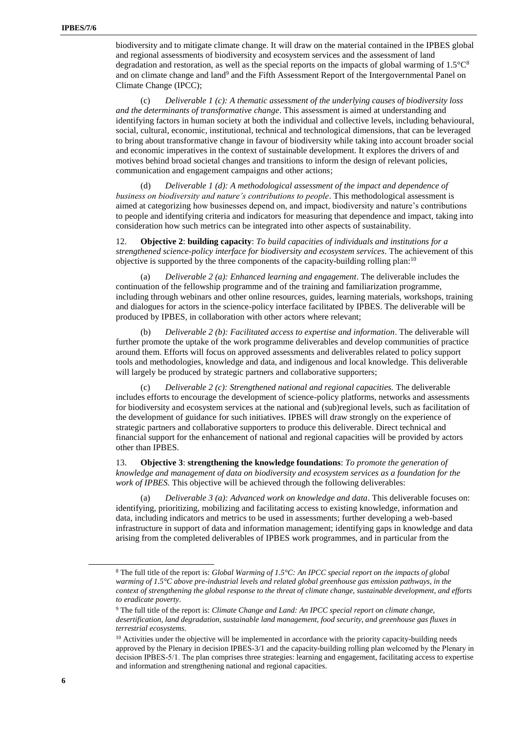biodiversity and to mitigate climate change. It will draw on the material contained in the IPBES global and regional assessments of biodiversity and ecosystem services and the assessment of land degradation and restoration, as well as the special reports on the impacts of global warming of  $1.5^{\circ}C^8$ and on climate change and land<sup>9</sup> and the Fifth Assessment Report of the Intergovernmental Panel on Climate Change (IPCC);

(c) *Deliverable 1 (c): A thematic assessment of the underlying causes of biodiversity loss and the determinants of transformative change*. This assessment is aimed at understanding and identifying factors in human society at both the individual and collective levels, including behavioural, social, cultural, economic, institutional, technical and technological dimensions, that can be leveraged to bring about transformative change in favour of biodiversity while taking into account broader social and economic imperatives in the context of sustainable development. It explores the drivers of and motives behind broad societal changes and transitions to inform the design of relevant policies, communication and engagement campaigns and other actions;

(d) *Deliverable 1 (d): A methodological assessment of the impact and dependence of business on biodiversity and nature's contributions to people*. This methodological assessment is aimed at categorizing how businesses depend on, and impact, biodiversity and nature's contributions to people and identifying criteria and indicators for measuring that dependence and impact, taking into consideration how such metrics can be integrated into other aspects of sustainability.

12. **Objective 2**: **building capacity**: *To build capacities of individuals and institutions for a strengthened science-policy interface for biodiversity and ecosystem services*. The achievement of this objective is supported by the three components of the capacity-building rolling plan:<sup>10</sup>

(a) *Deliverable 2 (a): Enhanced learning and engagement*. The deliverable includes the continuation of the fellowship programme and of the training and familiarization programme, including through webinars and other online resources, guides, learning materials, workshops, training and dialogues for actors in the science-policy interface facilitated by IPBES. The deliverable will be produced by IPBES, in collaboration with other actors where relevant;

(b) *Deliverable 2 (b): Facilitated access to expertise and information*. The deliverable will further promote the uptake of the work programme deliverables and develop communities of practice around them. Efforts will focus on approved assessments and deliverables related to policy support tools and methodologies, knowledge and data, and indigenous and local knowledge. This deliverable will largely be produced by strategic partners and collaborative supporters;

(c) *Deliverable 2 (c): Strengthened national and regional capacities.* The deliverable includes efforts to encourage the development of science-policy platforms, networks and assessments for biodiversity and ecosystem services at the national and (sub)regional levels, such as facilitation of the development of guidance for such initiatives. IPBES will draw strongly on the experience of strategic partners and collaborative supporters to produce this deliverable. Direct technical and financial support for the enhancement of national and regional capacities will be provided by actors other than IPBES.

13. **Objective 3**: **strengthening the knowledge foundations**: *To promote the generation of knowledge and management of data on biodiversity and ecosystem services as a foundation for the work of IPBES.* This objective will be achieved through the following deliverables:

(a) *Deliverable 3 (a): Advanced work on knowledge and data*. This deliverable focuses on: identifying, prioritizing, mobilizing and facilitating access to existing knowledge, information and data, including indicators and metrics to be used in assessments; further developing a web-based infrastructure in support of data and information management; identifying gaps in knowledge and data arising from the completed deliverables of IPBES work programmes, and in particular from the

<sup>8</sup> The full title of the report is: *Global Warming of 1.5°C: An IPCC special report on the impacts of global warming of 1.5°C above pre-industrial levels and related global greenhouse gas emission pathways, in the context of strengthening the global response to the threat of climate change, sustainable development, and efforts to eradicate poverty*.

<sup>9</sup> The full title of the report is: *Climate Change and Land: An IPCC special report on climate change, desertification, land degradation, sustainable land management, food security, and greenhouse gas fluxes in terrestrial ecosystems*.

 $10$  Activities under the objective will be implemented in accordance with the priority capacity-building needs approved by the Plenary in decision IPBES-3/1 and the capacity-building rolling plan welcomed by the Plenary in decision IPBES-5/1. The plan comprises three strategies: learning and engagement, facilitating access to expertise and information and strengthening national and regional capacities.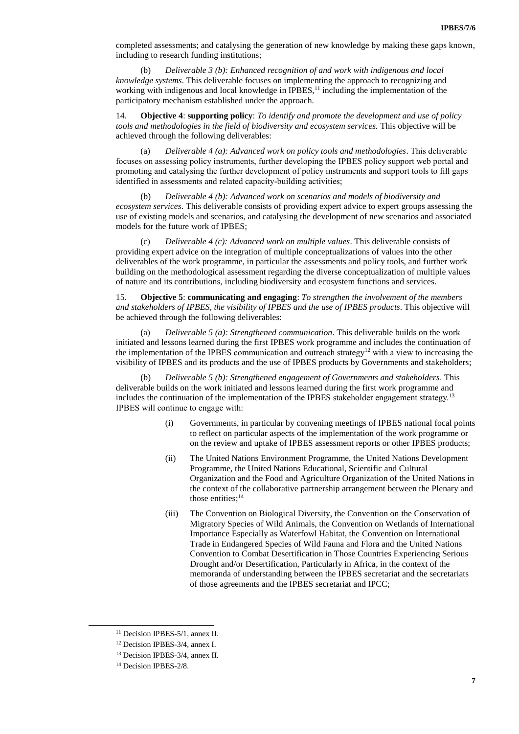completed assessments; and catalysing the generation of new knowledge by making these gaps known, including to research funding institutions;

(b) *Deliverable 3 (b): Enhanced recognition of and work with indigenous and local knowledge systems*. This deliverable focuses on implementing the approach to recognizing and working with indigenous and local knowledge in  $IPBES<sub>1</sub><sup>11</sup>$  including the implementation of the participatory mechanism established under the approach.

14. **Objective 4**: **supporting policy**: *To identify and promote the development and use of policy tools and methodologies in the field of biodiversity and ecosystem services.* This objective will be achieved through the following deliverables:

(a) *Deliverable 4 (a): Advanced work on policy tools and methodologies*. This deliverable focuses on assessing policy instruments, further developing the IPBES policy support web portal and promoting and catalysing the further development of policy instruments and support tools to fill gaps identified in assessments and related capacity-building activities;

(b) *Deliverable 4 (b): Advanced work on scenarios and models of biodiversity and ecosystem services*. This deliverable consists of providing expert advice to expert groups assessing the use of existing models and scenarios, and catalysing the development of new scenarios and associated models for the future work of IPBES;

(c) *Deliverable 4 (c): Advanced work on multiple values*. This deliverable consists of providing expert advice on the integration of multiple conceptualizations of values into the other deliverables of the work programme, in particular the assessments and policy tools, and further work building on the methodological assessment regarding the diverse conceptualization of multiple values of nature and its contributions, including biodiversity and ecosystem functions and services.

15. **Objective 5**: **communicating and engaging**: *To strengthen the involvement of the members and stakeholders of IPBES, the visibility of IPBES and the use of IPBES products*. This objective will be achieved through the following deliverables:

(a) *Deliverable 5 (a): Strengthened communication*. This deliverable builds on the work initiated and lessons learned during the first IPBES work programme and includes the continuation of the implementation of the IPBES communication and outreach strategy<sup>12</sup> with a view to increasing the visibility of IPBES and its products and the use of IPBES products by Governments and stakeholders;

(b) *Deliverable 5 (b): Strengthened engagement of Governments and stakeholders*. This deliverable builds on the work initiated and lessons learned during the first work programme and includes the continuation of the implementation of the IPBES stakeholder engagement strategy.<sup>13</sup> IPBES will continue to engage with:

- (i) Governments, in particular by convening meetings of IPBES national focal points to reflect on particular aspects of the implementation of the work programme or on the review and uptake of IPBES assessment reports or other IPBES products;
- (ii) The United Nations Environment Programme, the United Nations Development Programme, the United Nations Educational, Scientific and Cultural Organization and the Food and Agriculture Organization of the United Nations in the context of the collaborative partnership arrangement between the Plenary and those entities; 14
- (iii) The Convention on Biological Diversity, the Convention on the Conservation of Migratory Species of Wild Animals, the Convention on Wetlands of International Importance Especially as Waterfowl Habitat, the Convention on International Trade in Endangered Species of Wild Fauna and Flora and the United Nations Convention to Combat Desertification in Those Countries Experiencing Serious Drought and/or Desertification, Particularly in Africa, in the context of the memoranda of understanding between the IPBES secretariat and the secretariats of those agreements and the IPBES secretariat and IPCC;

<sup>&</sup>lt;sup>11</sup> Decision IPBES-5/1, annex II.

<sup>12</sup> Decision IPBES-3/4, annex I.

<sup>13</sup> Decision IPBES-3/4, annex II.

<sup>&</sup>lt;sup>14</sup> Decision IPBES-2/8.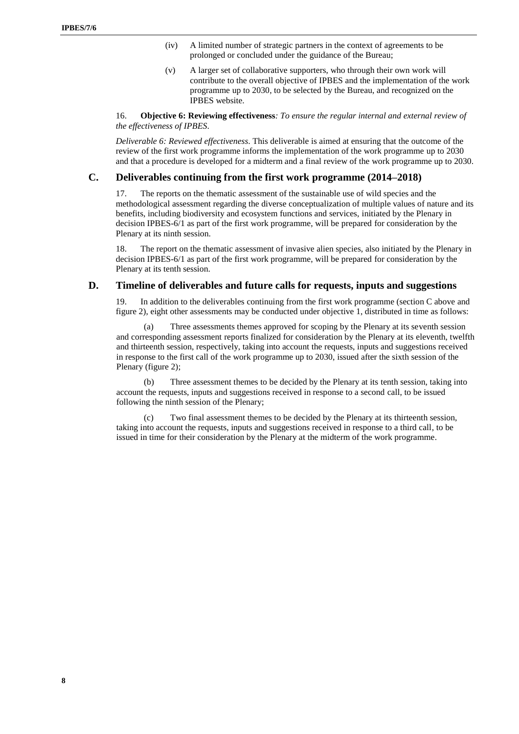- (iv) A limited number of strategic partners in the context of agreements to be prolonged or concluded under the guidance of the Bureau;
- (v) A larger set of collaborative supporters, who through their own work will contribute to the overall objective of IPBES and the implementation of the work programme up to 2030, to be selected by the Bureau, and recognized on the IPBES website.

16. **Objective 6: Reviewing effectiveness***: To ensure the regular internal and external review of the effectiveness of IPBES*.

*Deliverable 6: Reviewed effectiveness*. This deliverable is aimed at ensuring that the outcome of the review of the first work programme informs the implementation of the work programme up to 2030 and that a procedure is developed for a midterm and a final review of the work programme up to 2030.

#### **C. Deliverables continuing from the first work programme (2014–2018)**

17. The reports on the thematic assessment of the sustainable use of wild species and the methodological assessment regarding the diverse conceptualization of multiple values of nature and its benefits, including biodiversity and ecosystem functions and services, initiated by the Plenary in decision IPBES-6/1 as part of the first work programme, will be prepared for consideration by the Plenary at its ninth session.

18. The report on the thematic assessment of invasive alien species, also initiated by the Plenary in decision IPBES-6/1 as part of the first work programme, will be prepared for consideration by the Plenary at its tenth session.

#### **D. Timeline of deliverables and future calls for requests, inputs and suggestions**

19. In addition to the deliverables continuing from the first work programme (section C above and figure 2), eight other assessments may be conducted under objective 1, distributed in time as follows:

(a) Three assessments themes approved for scoping by the Plenary at its seventh session and corresponding assessment reports finalized for consideration by the Plenary at its eleventh, twelfth and thirteenth session, respectively, taking into account the requests, inputs and suggestions received in response to the first call of the work programme up to 2030, issued after the sixth session of the Plenary (figure 2);

(b) Three assessment themes to be decided by the Plenary at its tenth session, taking into account the requests, inputs and suggestions received in response to a second call, to be issued following the ninth session of the Plenary;

(c) Two final assessment themes to be decided by the Plenary at its thirteenth session, taking into account the requests, inputs and suggestions received in response to a third call, to be issued in time for their consideration by the Plenary at the midterm of the work programme.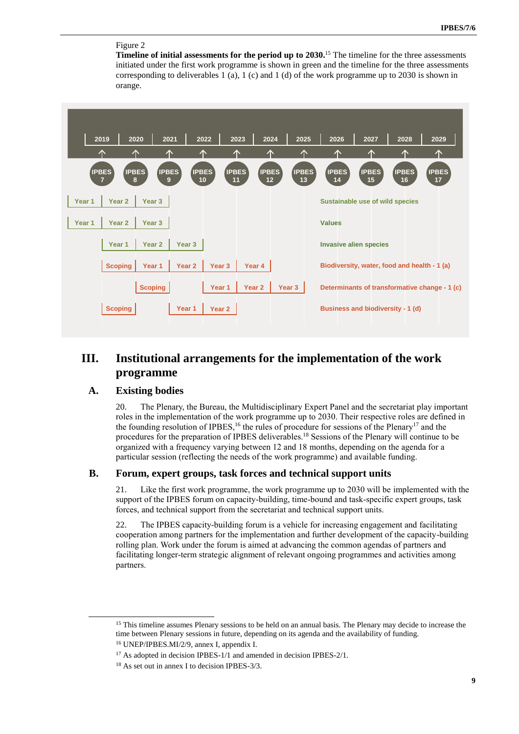### Figure 2

**Timeline of initial assessments for the period up to 2030.** <sup>15</sup> The timeline for the three assessments initiated under the first work programme is shown in green and the timeline for the three assessments corresponding to deliverables 1 (a), 1 (c) and 1 (d) of the work programme up to 2030 is shown in orange.



## **III. Institutional arrangements for the implementation of the work programme**

### **A. Existing bodies**

 $\overline{a}$ 

20. The Plenary, the Bureau, the Multidisciplinary Expert Panel and the secretariat play important roles in the implementation of the work programme up to 2030. Their respective roles are defined in the founding resolution of IPBES,<sup>16</sup> the rules of procedure for sessions of the Plenary<sup>17</sup> and the procedures for the preparation of IPBES deliverables.<sup>18</sup> Sessions of the Plenary will continue to be organized with a frequency varying between 12 and 18 months, depending on the agenda for a particular session (reflecting the needs of the work programme) and available funding.

### **B. Forum, expert groups, task forces and technical support units**

21. Like the first work programme, the work programme up to 2030 will be implemented with the support of the IPBES forum on capacity-building, time-bound and task-specific expert groups, task forces, and technical support from the secretariat and technical support units.

22. The IPBES capacity-building forum is a vehicle for increasing engagement and facilitating cooperation among partners for the implementation and further development of the capacity-building rolling plan. Work under the forum is aimed at advancing the common agendas of partners and facilitating longer-term strategic alignment of relevant ongoing programmes and activities among partners.

<sup>&</sup>lt;sup>15</sup> This timeline assumes Plenary sessions to be held on an annual basis. The Plenary may decide to increase the time between Plenary sessions in future, depending on its agenda and the availability of funding. <sup>16</sup> UNEP/IPBES.MI/2/9, annex I, appendix I.

<sup>&</sup>lt;sup>17</sup> As adopted in decision IPBES-1/1 and amended in decision IPBES-2/1.

<sup>18</sup> As set out in annex I to decision IPBES-3/3.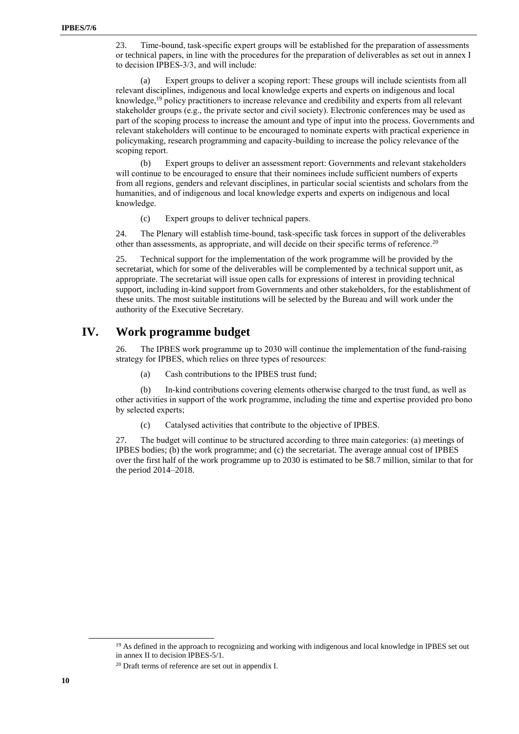23. Time-bound, task-specific expert groups will be established for the preparation of assessments or technical papers, in line with the procedures for the preparation of deliverables as set out in annex I to decision IPBES-3/3, and will include:

(a) Expert groups to deliver a scoping report: These groups will include scientists from all relevant disciplines, indigenous and local knowledge experts and experts on indigenous and local knowledge,<sup>19</sup> policy practitioners to increase relevance and credibility and experts from all relevant stakeholder groups (e.g., the private sector and civil society). Electronic conferences may be used as part of the scoping process to increase the amount and type of input into the process. Governments and relevant stakeholders will continue to be encouraged to nominate experts with practical experience in policymaking, research programming and capacity-building to increase the policy relevance of the scoping report.

(b) Expert groups to deliver an assessment report: Governments and relevant stakeholders will continue to be encouraged to ensure that their nominees include sufficient numbers of experts from all regions, genders and relevant disciplines, in particular social scientists and scholars from the humanities, and of indigenous and local knowledge experts and experts on indigenous and local knowledge.

(c) Expert groups to deliver technical papers.

24. The Plenary will establish time-bound, task-specific task forces in support of the deliverables other than assessments, as appropriate, and will decide on their specific terms of reference.<sup>20</sup>

25. Technical support for the implementation of the work programme will be provided by the secretariat, which for some of the deliverables will be complemented by a technical support unit, as appropriate. The secretariat will issue open calls for expressions of interest in providing technical support, including in-kind support from Governments and other stakeholders, for the establishment of these units. The most suitable institutions will be selected by the Bureau and will work under the authority of the Executive Secretary.

## **IV. Work programme budget**

26. The IPBES work programme up to 2030 will continue the implementation of the fund-raising strategy for IPBES, which relies on three types of resources:

(a) Cash contributions to the IPBES trust fund;

(b) In-kind contributions covering elements otherwise charged to the trust fund, as well as other activities in support of the work programme, including the time and expertise provided pro bono by selected experts;

(c) Catalysed activities that contribute to the objective of IPBES.

27. The budget will continue to be structured according to three main categories: (a) meetings of IPBES bodies; (b) the work programme; and (c) the secretariat. The average annual cost of IPBES over the first half of the work programme up to 2030 is estimated to be \$8.7 million, similar to that for the period 2014–2018.

<sup>&</sup>lt;sup>19</sup> As defined in the approach to recognizing and working with indigenous and local knowledge in IPBES set out in annex II to decision IPBES-5/1.

<sup>20</sup> Draft terms of reference are set out in appendix I.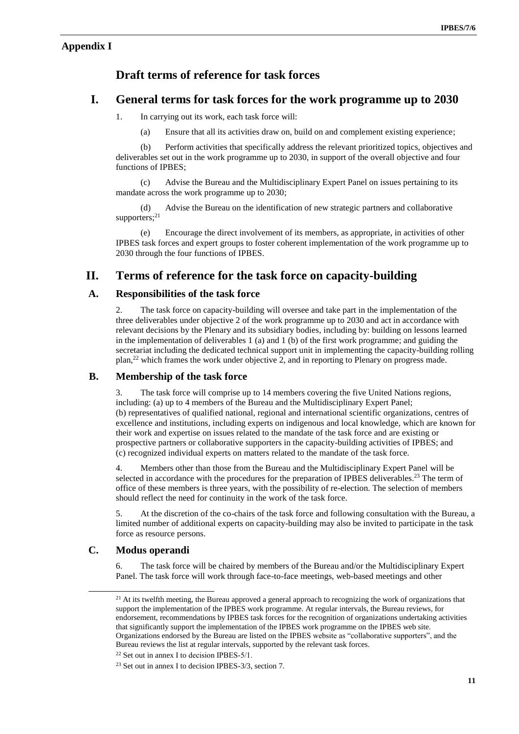### **Appendix I**

## **Draft terms of reference for task forces**

## **I. General terms for task forces for the work programme up to 2030**

- 1. In carrying out its work, each task force will:
	- (a) Ensure that all its activities draw on, build on and complement existing experience;

(b) Perform activities that specifically address the relevant prioritized topics, objectives and deliverables set out in the work programme up to 2030, in support of the overall objective and four functions of IPBES;

(c) Advise the Bureau and the Multidisciplinary Expert Panel on issues pertaining to its mandate across the work programme up to 2030;

(d) Advise the Bureau on the identification of new strategic partners and collaborative supporters; 21

(e) Encourage the direct involvement of its members, as appropriate, in activities of other IPBES task forces and expert groups to foster coherent implementation of the work programme up to 2030 through the four functions of IPBES.

## **II. Terms of reference for the task force on capacity-building**

### **A. Responsibilities of the task force**

2. The task force on capacity-building will oversee and take part in the implementation of the three deliverables under objective 2 of the work programme up to 2030 and act in accordance with relevant decisions by the Plenary and its subsidiary bodies, including by: building on lessons learned in the implementation of deliverables 1 (a) and 1 (b) of the first work programme; and guiding the secretariat including the dedicated technical support unit in implementing the capacity-building rolling plan,<sup>22</sup> which frames the work under objective 2, and in reporting to Plenary on progress made.

### **B. Membership of the task force**

3. The task force will comprise up to 14 members covering the five United Nations regions, including: (a) up to 4 members of the Bureau and the Multidisciplinary Expert Panel; (b) representatives of qualified national, regional and international scientific organizations, centres of excellence and institutions, including experts on indigenous and local knowledge, which are known for their work and expertise on issues related to the mandate of the task force and are existing or prospective partners or collaborative supporters in the capacity-building activities of IPBES; and (c) recognized individual experts on matters related to the mandate of the task force.

4. Members other than those from the Bureau and the Multidisciplinary Expert Panel will be selected in accordance with the procedures for the preparation of IPBES deliverables.<sup>23</sup> The term of office of these members is three years, with the possibility of re-election. The selection of members should reflect the need for continuity in the work of the task force.

5. At the discretion of the co-chairs of the task force and following consultation with the Bureau, a limited number of additional experts on capacity-building may also be invited to participate in the task force as resource persons.

### **C. Modus operandi**

 $\overline{a}$ 

6. The task force will be chaired by members of the Bureau and/or the Multidisciplinary Expert Panel. The task force will work through face-to-face meetings, web-based meetings and other

<sup>&</sup>lt;sup>21</sup> At its twelfth meeting, the Bureau approved a general approach to recognizing the work of organizations that support the implementation of the IPBES work programme. At regular intervals, the Bureau reviews, for endorsement, recommendations by IPBES task forces for the recognition of organizations undertaking activities that significantly support the implementation of the IPBES work programme on the IPBES web site. Organizations endorsed by the Bureau are listed on the IPBES website as "collaborative supporters", and the Bureau reviews the list at regular intervals, supported by the relevant task forces.

 $22$  Set out in annex I to decision IPBES-5/1.

<sup>23</sup> Set out in annex I to decision IPBES-3/3, section 7.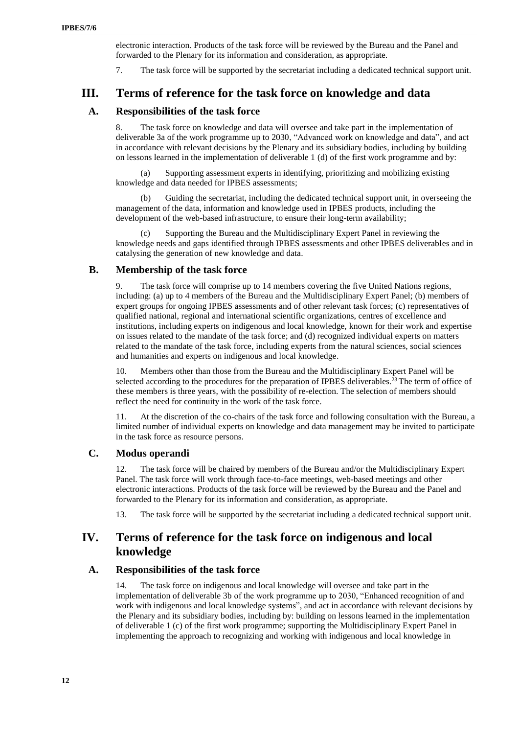electronic interaction. Products of the task force will be reviewed by the Bureau and the Panel and forwarded to the Plenary for its information and consideration, as appropriate.

7. The task force will be supported by the secretariat including a dedicated technical support unit.

### **III. Terms of reference for the task force on knowledge and data**

### **A. Responsibilities of the task force**

8. The task force on knowledge and data will oversee and take part in the implementation of deliverable 3a of the work programme up to 2030, "Advanced work on knowledge and data", and act in accordance with relevant decisions by the Plenary and its subsidiary bodies, including by building on lessons learned in the implementation of deliverable 1 (d) of the first work programme and by:

Supporting assessment experts in identifying, prioritizing and mobilizing existing knowledge and data needed for IPBES assessments;

(b) Guiding the secretariat, including the dedicated technical support unit, in overseeing the management of the data, information and knowledge used in IPBES products, including the development of the web-based infrastructure, to ensure their long-term availability;

Supporting the Bureau and the Multidisciplinary Expert Panel in reviewing the knowledge needs and gaps identified through IPBES assessments and other IPBES deliverables and in catalysing the generation of new knowledge and data.

### **B. Membership of the task force**

9. The task force will comprise up to 14 members covering the five United Nations regions, including: (a) up to 4 members of the Bureau and the Multidisciplinary Expert Panel; (b) members of expert groups for ongoing IPBES assessments and of other relevant task forces; (c) representatives of qualified national, regional and international scientific organizations, centres of excellence and institutions, including experts on indigenous and local knowledge, known for their work and expertise on issues related to the mandate of the task force; and (d) recognized individual experts on matters related to the mandate of the task force, including experts from the natural sciences, social sciences and humanities and experts on indigenous and local knowledge.

10. Members other than those from the Bureau and the Multidisciplinary Expert Panel will be selected according to the procedures for the preparation of IPBES deliverables.<sup>23</sup> The term of office of these members is three years, with the possibility of re-election. The selection of members should reflect the need for continuity in the work of the task force.

11. At the discretion of the co-chairs of the task force and following consultation with the Bureau, a limited number of individual experts on knowledge and data management may be invited to participate in the task force as resource persons.

#### **C. Modus operandi**

12. The task force will be chaired by members of the Bureau and/or the Multidisciplinary Expert Panel. The task force will work through face-to-face meetings, web-based meetings and other electronic interactions. Products of the task force will be reviewed by the Bureau and the Panel and forwarded to the Plenary for its information and consideration, as appropriate.

13. The task force will be supported by the secretariat including a dedicated technical support unit.

## **IV. Terms of reference for the task force on indigenous and local knowledge**

### **A. Responsibilities of the task force**

14. The task force on indigenous and local knowledge will oversee and take part in the implementation of deliverable 3b of the work programme up to 2030, "Enhanced recognition of and work with indigenous and local knowledge systems", and act in accordance with relevant decisions by the Plenary and its subsidiary bodies, including by: building on lessons learned in the implementation of deliverable 1 (c) of the first work programme; supporting the Multidisciplinary Expert Panel in implementing the approach to recognizing and working with indigenous and local knowledge in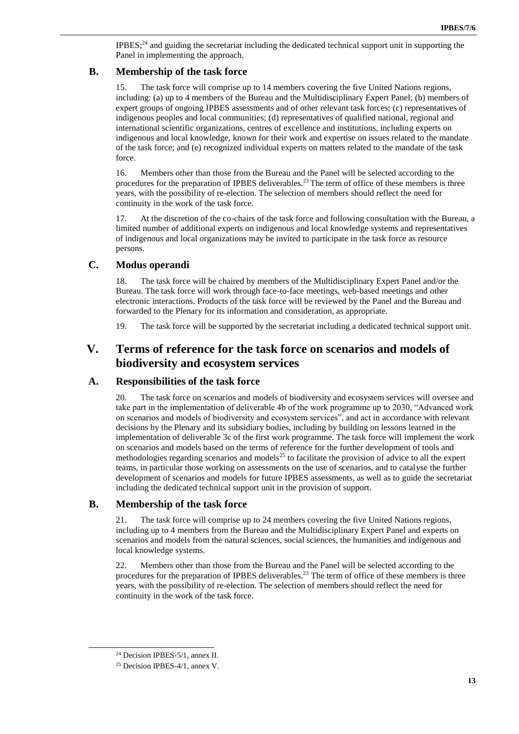IPBES; <sup>24</sup> and guiding the secretariat including the dedicated technical support unit in supporting the Panel in implementing the approach.

### **B. Membership of the task force**

15. The task force will comprise up to 14 members covering the five United Nations regions, including: (a) up to 4 members of the Bureau and the Multidisciplinary Expert Panel; (b) members of expert groups of ongoing IPBES assessments and of other relevant task forces; (c) representatives of indigenous peoples and local communities; (d) representatives of qualified national, regional and international scientific organizations, centres of excellence and institutions, including experts on indigenous and local knowledge, known for their work and expertise on issues related to the mandate of the task force; and (e) recognized individual experts on matters related to the mandate of the task force.

16. Members other than those from the Bureau and the Panel will be selected according to the procedures for the preparation of IPBES deliverables.<sup>23</sup> The term of office of these members is three years, with the possibility of re-election. The selection of members should reflect the need for continuity in the work of the task force.

17. At the discretion of the co-chairs of the task force and following consultation with the Bureau, a limited number of additional experts on indigenous and local knowledge systems and representatives of indigenous and local organizations may be invited to participate in the task force as resource persons.

### **C. Modus operandi**

18. The task force will be chaired by members of the Multidisciplinary Expert Panel and/or the Bureau. The task force will work through face-to-face meetings, web-based meetings and other electronic interactions. Products of the task force will be reviewed by the Panel and the Bureau and forwarded to the Plenary for its information and consideration, as appropriate.

19. The task force will be supported by the secretariat including a dedicated technical support unit.

## **V. Terms of reference for the task force on scenarios and models of biodiversity and ecosystem services**

### **A. Responsibilities of the task force**

20. The task force on scenarios and models of biodiversity and ecosystem services will oversee and take part in the implementation of deliverable 4b of the work programme up to 2030, "Advanced work on scenarios and models of biodiversity and ecosystem services", and act in accordance with relevant decisions by the Plenary and its subsidiary bodies, including by building on lessons learned in the implementation of deliverable 3c of the first work programme. The task force will implement the work on scenarios and models based on the terms of reference for the further development of tools and methodologies regarding scenarios and models<sup>25</sup> to facilitate the provision of advice to all the expert teams, in particular those working on assessments on the use of scenarios, and to catalyse the further development of scenarios and models for future IPBES assessments, as well as to guide the secretariat including the dedicated technical support unit in the provision of support.

### **B. Membership of the task force**

21. The task force will comprise up to 24 members covering the five United Nations regions, including up to 4 members from the Bureau and the Multidisciplinary Expert Panel and experts on scenarios and models from the natural sciences, social sciences, the humanities and indigenous and local knowledge systems.

22. Members other than those from the Bureau and the Panel will be selected according to the procedures for the preparation of IPBES deliverables.<sup>23</sup> The term of office of these members is three years, with the possibility of re-election. The selection of members should reflect the need for continuity in the work of the task force.

<sup>24</sup> Decision IPBES-5/1, annex II.

<sup>25</sup> Decision IPBES-4/1, annex V.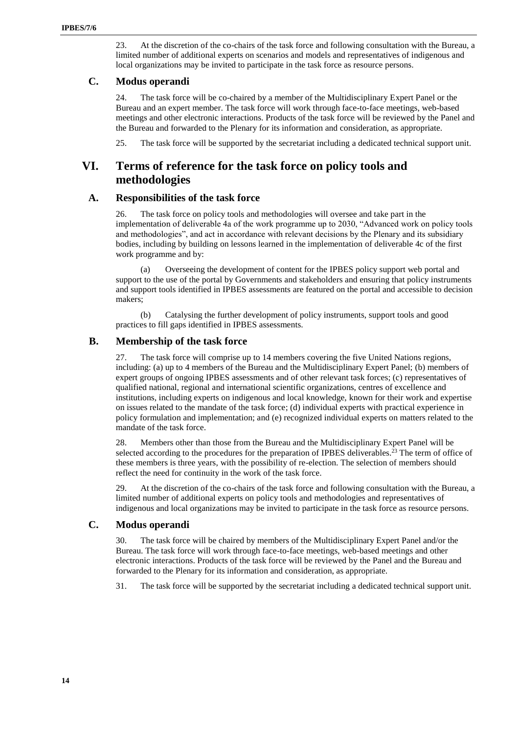23. At the discretion of the co-chairs of the task force and following consultation with the Bureau, a limited number of additional experts on scenarios and models and representatives of indigenous and local organizations may be invited to participate in the task force as resource persons.

### **C. Modus operandi**

24. The task force will be co-chaired by a member of the Multidisciplinary Expert Panel or the Bureau and an expert member. The task force will work through face-to-face meetings, web-based meetings and other electronic interactions. Products of the task force will be reviewed by the Panel and the Bureau and forwarded to the Plenary for its information and consideration, as appropriate.

25. The task force will be supported by the secretariat including a dedicated technical support unit.

## **VI. Terms of reference for the task force on policy tools and methodologies**

#### **A. Responsibilities of the task force**

26. The task force on policy tools and methodologies will oversee and take part in the implementation of deliverable 4a of the work programme up to 2030, "Advanced work on policy tools and methodologies", and act in accordance with relevant decisions by the Plenary and its subsidiary bodies, including by building on lessons learned in the implementation of deliverable 4c of the first work programme and by:

(a) Overseeing the development of content for the IPBES policy support web portal and support to the use of the portal by Governments and stakeholders and ensuring that policy instruments and support tools identified in IPBES assessments are featured on the portal and accessible to decision makers;

(b) Catalysing the further development of policy instruments, support tools and good practices to fill gaps identified in IPBES assessments.

### **B. Membership of the task force**

27. The task force will comprise up to 14 members covering the five United Nations regions, including: (a) up to 4 members of the Bureau and the Multidisciplinary Expert Panel; (b) members of expert groups of ongoing IPBES assessments and of other relevant task forces; (c) representatives of qualified national, regional and international scientific organizations, centres of excellence and institutions, including experts on indigenous and local knowledge, known for their work and expertise on issues related to the mandate of the task force; (d) individual experts with practical experience in policy formulation and implementation; and (e) recognized individual experts on matters related to the mandate of the task force.

28. Members other than those from the Bureau and the Multidisciplinary Expert Panel will be selected according to the procedures for the preparation of IPBES deliverables.<sup>23</sup> The term of office of these members is three years, with the possibility of re-election. The selection of members should reflect the need for continuity in the work of the task force.

29. At the discretion of the co-chairs of the task force and following consultation with the Bureau, a limited number of additional experts on policy tools and methodologies and representatives of indigenous and local organizations may be invited to participate in the task force as resource persons.

### **C. Modus operandi**

30. The task force will be chaired by members of the Multidisciplinary Expert Panel and/or the Bureau. The task force will work through face-to-face meetings, web-based meetings and other electronic interactions. Products of the task force will be reviewed by the Panel and the Bureau and forwarded to the Plenary for its information and consideration, as appropriate.

31. The task force will be supported by the secretariat including a dedicated technical support unit.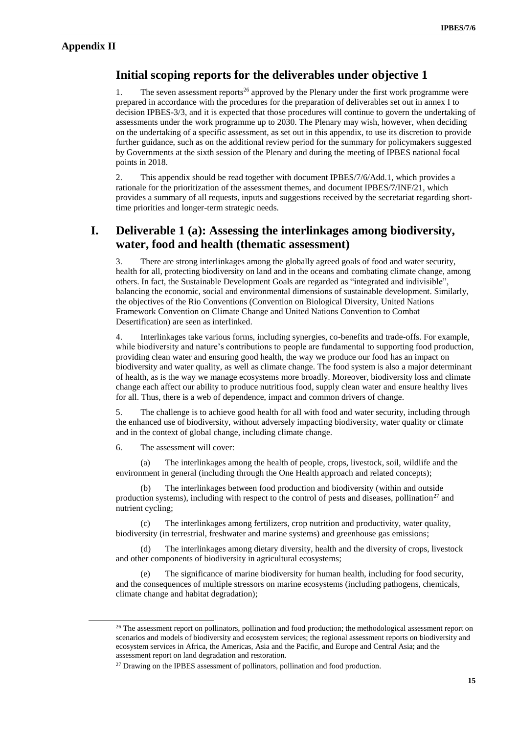### **Appendix II**

 $\overline{a}$ 

## **Initial scoping reports for the deliverables under objective 1**

1. The seven assessment reports<sup>26</sup> approved by the Plenary under the first work programme were prepared in accordance with the procedures for the preparation of deliverables set out in annex I to decision IPBES-3/3, and it is expected that those procedures will continue to govern the undertaking of assessments under the work programme up to 2030. The Plenary may wish, however, when deciding on the undertaking of a specific assessment, as set out in this appendix, to use its discretion to provide further guidance, such as on the additional review period for the summary for policymakers suggested by Governments at the sixth session of the Plenary and during the meeting of IPBES national focal points in 2018.

2. This appendix should be read together with document IPBES/7/6/Add.1, which provides a rationale for the prioritization of the assessment themes, and document IPBES/7/INF/21, which provides a summary of all requests, inputs and suggestions received by the secretariat regarding shorttime priorities and longer-term strategic needs.

## **I. Deliverable 1 (a): Assessing the interlinkages among biodiversity, water, food and health (thematic assessment)**

3. There are strong interlinkages among the globally agreed goals of food and water security, health for all, protecting biodiversity on land and in the oceans and combating climate change, among others. In fact, the Sustainable Development Goals are regarded as "integrated and indivisible", balancing the economic, social and environmental dimensions of sustainable development. Similarly, the objectives of the Rio Conventions (Convention on Biological Diversity, United Nations Framework Convention on Climate Change and United Nations Convention to Combat Desertification) are seen as interlinked.

4. Interlinkages take various forms, including synergies, co-benefits and trade-offs. For example, while biodiversity and nature's contributions to people are fundamental to supporting food production, providing clean water and ensuring good health, the way we produce our food has an impact on biodiversity and water quality, as well as climate change. The food system is also a major determinant of health, as is the way we manage ecosystems more broadly. Moreover, biodiversity loss and climate change each affect our ability to produce nutritious food, supply clean water and ensure healthy lives for all. Thus, there is a web of dependence, impact and common drivers of change.

5. The challenge is to achieve good health for all with food and water security, including through the enhanced use of biodiversity, without adversely impacting biodiversity, water quality or climate and in the context of global change, including climate change.

6. The assessment will cover:

(a) The interlinkages among the health of people, crops, livestock, soil, wildlife and the environment in general (including through the One Health approach and related concepts);

(b) The interlinkages between food production and biodiversity (within and outside production systems), including with respect to the control of pests and diseases, pollination<sup>27</sup> and nutrient cycling;

(c) The interlinkages among fertilizers, crop nutrition and productivity, water quality, biodiversity (in terrestrial, freshwater and marine systems) and greenhouse gas emissions;

(d) The interlinkages among dietary diversity, health and the diversity of crops, livestock and other components of biodiversity in agricultural ecosystems;

(e) The significance of marine biodiversity for human health, including for food security, and the consequences of multiple stressors on marine ecosystems (including pathogens, chemicals, climate change and habitat degradation);

<sup>&</sup>lt;sup>26</sup> The assessment report on pollinators, pollination and food production; the methodological assessment report on scenarios and models of biodiversity and ecosystem services; the regional assessment reports on biodiversity and ecosystem services in Africa, the Americas, Asia and the Pacific, and Europe and Central Asia; and the assessment report on land degradation and restoration.

 $27$  Drawing on the IPBES assessment of pollinators, pollination and food production.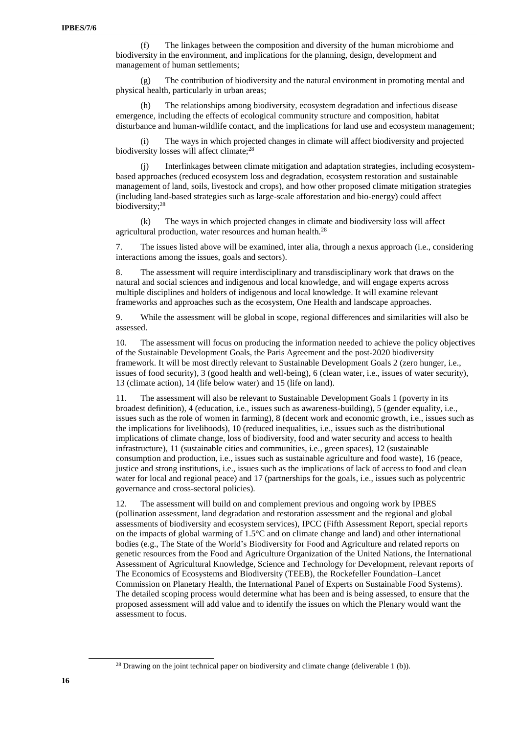(f) The linkages between the composition and diversity of the human microbiome and biodiversity in the environment, and implications for the planning, design, development and management of human settlements;

(g) The contribution of biodiversity and the natural environment in promoting mental and physical health, particularly in urban areas;

(h) The relationships among biodiversity, ecosystem degradation and infectious disease emergence, including the effects of ecological community structure and composition, habitat disturbance and human-wildlife contact, and the implications for land use and ecosystem management;

(i) The ways in which projected changes in climate will affect biodiversity and projected biodiversity losses will affect climate;<sup>28</sup>

(j) Interlinkages between climate mitigation and adaptation strategies, including ecosystembased approaches (reduced ecosystem loss and degradation, ecosystem restoration and sustainable management of land, soils, livestock and crops), and how other proposed climate mitigation strategies (including land-based strategies such as large-scale afforestation and bio-energy) could affect biodiversity; 28

(k) The ways in which projected changes in climate and biodiversity loss will affect agricultural production, water resources and human health.<sup>28</sup>

7. The issues listed above will be examined, inter alia, through a nexus approach (i.e., considering interactions among the issues, goals and sectors).

8. The assessment will require interdisciplinary and transdisciplinary work that draws on the natural and social sciences and indigenous and local knowledge, and will engage experts across multiple disciplines and holders of indigenous and local knowledge. It will examine relevant frameworks and approaches such as the ecosystem, One Health and landscape approaches.

9. While the assessment will be global in scope, regional differences and similarities will also be assessed.

10. The assessment will focus on producing the information needed to achieve the policy objectives of the Sustainable Development Goals, the Paris Agreement and the post-2020 biodiversity framework. It will be most directly relevant to Sustainable Development Goals 2 (zero hunger, i.e., issues of food security), 3 (good health and well-being), 6 (clean water, i.e., issues of water security), 13 (climate action), 14 (life below water) and 15 (life on land).

11. The assessment will also be relevant to Sustainable Development Goals 1 (poverty in its broadest definition), 4 (education, i.e., issues such as awareness-building), 5 (gender equality, i.e., issues such as the role of women in farming), 8 (decent work and economic growth, i.e., issues such as the implications for livelihoods), 10 (reduced inequalities, i.e., issues such as the distributional implications of climate change, loss of biodiversity, food and water security and access to health infrastructure), 11 (sustainable cities and communities, i.e., green spaces), 12 (sustainable consumption and production, i.e., issues such as sustainable agriculture and food waste), 16 (peace, justice and strong institutions, i.e., issues such as the implications of lack of access to food and clean water for local and regional peace) and 17 (partnerships for the goals, i.e., issues such as polycentric governance and cross-sectoral policies).

12. The assessment will build on and complement previous and ongoing work by IPBES (pollination assessment, land degradation and restoration assessment and the regional and global assessments of biodiversity and ecosystem services), IPCC (Fifth Assessment Report, special reports on the impacts of global warming of 1.5°C and on climate change and land) and other international bodies (e.g., The State of the World's Biodiversity for Food and Agriculture and related reports on genetic resources from the Food and Agriculture Organization of the United Nations, the International Assessment of Agricultural Knowledge, Science and Technology for Development, relevant reports of The Economics of Ecosystems and Biodiversity (TEEB), the Rockefeller Foundation–Lancet Commission on Planetary Health, the International Panel of Experts on Sustainable Food Systems). The detailed scoping process would determine what has been and is being assessed, to ensure that the proposed assessment will add value and to identify the issues on which the Plenary would want the assessment to focus.

l

<sup>&</sup>lt;sup>28</sup> Drawing on the joint technical paper on biodiversity and climate change (deliverable 1 (b)).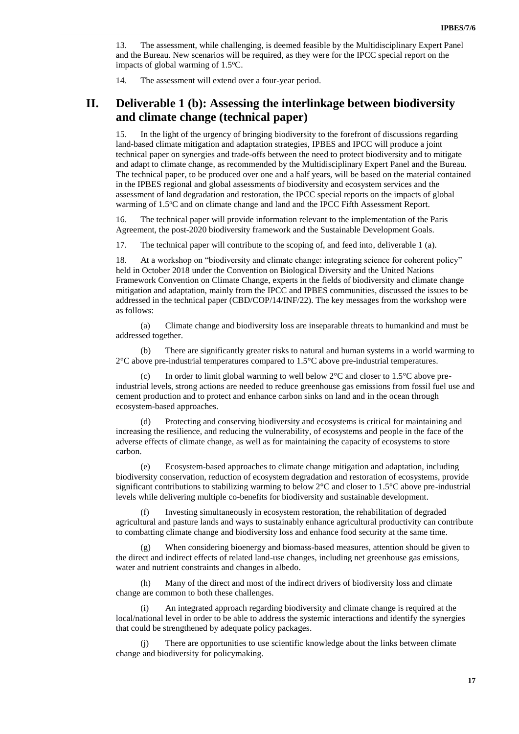13. The assessment, while challenging, is deemed feasible by the Multidisciplinary Expert Panel and the Bureau. New scenarios will be required, as they were for the IPCC special report on the impacts of global warming of  $1.5^{\circ}$ C.

14. The assessment will extend over a four-year period.

## **II. Deliverable 1 (b): Assessing the interlinkage between biodiversity and climate change (technical paper)**

15. In the light of the urgency of bringing biodiversity to the forefront of discussions regarding land-based climate mitigation and adaptation strategies, IPBES and IPCC will produce a joint technical paper on synergies and trade-offs between the need to protect biodiversity and to mitigate and adapt to climate change, as recommended by the Multidisciplinary Expert Panel and the Bureau. The technical paper, to be produced over one and a half years, will be based on the material contained in the IPBES regional and global assessments of biodiversity and ecosystem services and the assessment of land degradation and restoration, the IPCC special reports on the impacts of global warming of 1.5°C and on climate change and land and the IPCC Fifth Assessment Report.

16. The technical paper will provide information relevant to the implementation of the Paris Agreement, the post-2020 biodiversity framework and the Sustainable Development Goals.

17. The technical paper will contribute to the scoping of, and feed into, deliverable 1 (a).

18. At a workshop on "biodiversity and climate change: integrating science for coherent policy" held in October 2018 under the Convention on Biological Diversity and the United Nations Framework Convention on Climate Change, experts in the fields of biodiversity and climate change mitigation and adaptation, mainly from the IPCC and IPBES communities, discussed the issues to be addressed in the technical paper (CBD/COP/14/INF/22). The key messages from the workshop were as follows:

(a) Climate change and biodiversity loss are inseparable threats to humankind and must be addressed together.

(b) There are significantly greater risks to natural and human systems in a world warming to  $2^{\circ}$ C above pre-industrial temperatures compared to 1.5 $^{\circ}$ C above pre-industrial temperatures.

(c) In order to limit global warming to well below  $2^{\circ}$ C and closer to  $1.5^{\circ}$ C above preindustrial levels, strong actions are needed to reduce greenhouse gas emissions from fossil fuel use and cement production and to protect and enhance carbon sinks on land and in the ocean through ecosystem-based approaches.

(d) Protecting and conserving biodiversity and ecosystems is critical for maintaining and increasing the resilience, and reducing the vulnerability, of ecosystems and people in the face of the adverse effects of climate change, as well as for maintaining the capacity of ecosystems to store carbon.

(e) Ecosystem-based approaches to climate change mitigation and adaptation, including biodiversity conservation, reduction of ecosystem degradation and restoration of ecosystems, provide significant contributions to stabilizing warming to below 2°C and closer to 1.5°C above pre-industrial levels while delivering multiple co-benefits for biodiversity and sustainable development.

(f) Investing simultaneously in ecosystem restoration, the rehabilitation of degraded agricultural and pasture lands and ways to sustainably enhance agricultural productivity can contribute to combatting climate change and biodiversity loss and enhance food security at the same time.

(g) When considering bioenergy and biomass-based measures, attention should be given to the direct and indirect effects of related land-use changes, including net greenhouse gas emissions, water and nutrient constraints and changes in albedo.

(h) Many of the direct and most of the indirect drivers of biodiversity loss and climate change are common to both these challenges.

(i) An integrated approach regarding biodiversity and climate change is required at the local/national level in order to be able to address the systemic interactions and identify the synergies that could be strengthened by adequate policy packages.

(j) There are opportunities to use scientific knowledge about the links between climate change and biodiversity for policymaking.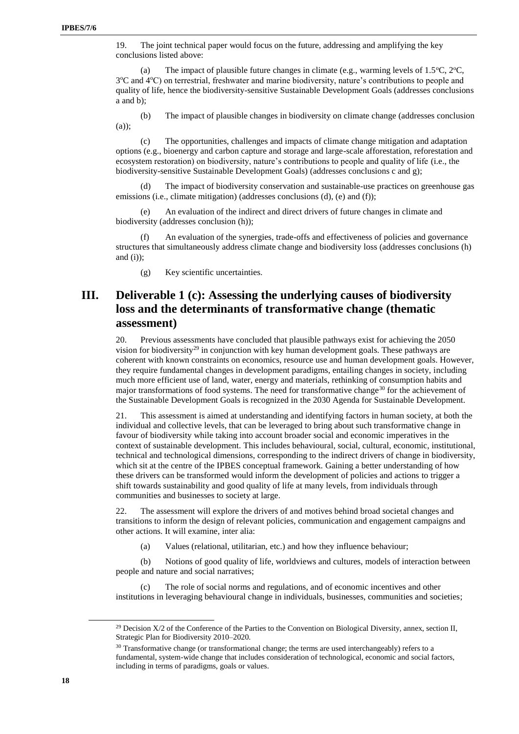19. The joint technical paper would focus on the future, addressing and amplifying the key conclusions listed above:

(a) The impact of plausible future changes in climate (e.g., warming levels of  $1.5^{\circ}C$ ,  $2^{\circ}C$ , 3°C and 4°C) on terrestrial, freshwater and marine biodiversity, nature's contributions to people and quality of life, hence the biodiversity-sensitive Sustainable Development Goals (addresses conclusions a and b);

(b) The impact of plausible changes in biodiversity on climate change (addresses conclusion (a));

(c) The opportunities, challenges and impacts of climate change mitigation and adaptation options (e.g., bioenergy and carbon capture and storage and large-scale afforestation, reforestation and ecosystem restoration) on biodiversity, nature's contributions to people and quality of life (i.e., the biodiversity-sensitive Sustainable Development Goals) (addresses conclusions c and g);

(d) The impact of biodiversity conservation and sustainable-use practices on greenhouse gas emissions (i.e., climate mitigation) (addresses conclusions (d), (e) and (f));

(e) An evaluation of the indirect and direct drivers of future changes in climate and biodiversity (addresses conclusion (h));

(f) An evaluation of the synergies, trade-offs and effectiveness of policies and governance structures that simultaneously address climate change and biodiversity loss (addresses conclusions (h) and  $(i)$ ;

(g) Key scientific uncertainties.

# **III. Deliverable 1 (c): Assessing the underlying causes of biodiversity loss and the determinants of transformative change (thematic assessment)**

20. Previous assessments have concluded that plausible pathways exist for achieving the 2050 vision for biodiversity<sup>29</sup> in conjunction with key human development goals. These pathways are coherent with known constraints on economics, resource use and human development goals. However, they require fundamental changes in development paradigms, entailing changes in society, including much more efficient use of land, water, energy and materials, rethinking of consumption habits and major transformations of food systems. The need for transformative change<sup>30</sup> for the achievement of the Sustainable Development Goals is recognized in the 2030 Agenda for Sustainable Development.

21. This assessment is aimed at understanding and identifying factors in human society, at both the individual and collective levels, that can be leveraged to bring about such transformative change in favour of biodiversity while taking into account broader social and economic imperatives in the context of sustainable development. This includes behavioural, social, cultural, economic, institutional, technical and technological dimensions, corresponding to the indirect drivers of change in biodiversity, which sit at the centre of the IPBES conceptual framework. Gaining a better understanding of how these drivers can be transformed would inform the development of policies and actions to trigger a shift towards sustainability and good quality of life at many levels, from individuals through communities and businesses to society at large.

22. The assessment will explore the drivers of and motives behind broad societal changes and transitions to inform the design of relevant policies, communication and engagement campaigns and other actions. It will examine, inter alia:

(a) Values (relational, utilitarian, etc.) and how they influence behaviour;

(b) Notions of good quality of life, worldviews and cultures, models of interaction between people and nature and social narratives;

(c) The role of social norms and regulations, and of economic incentives and other institutions in leveraging behavioural change in individuals, businesses, communities and societies;

<sup>&</sup>lt;sup>29</sup> Decision  $X/2$  of the Conference of the Parties to the Convention on Biological Diversity, annex, section II, Strategic Plan for Biodiversity 2010–2020.

<sup>&</sup>lt;sup>30</sup> Transformative change (or transformational change; the terms are used interchangeably) refers to a fundamental, system-wide change that includes consideration of technological, economic and social factors, including in terms of paradigms, goals or values.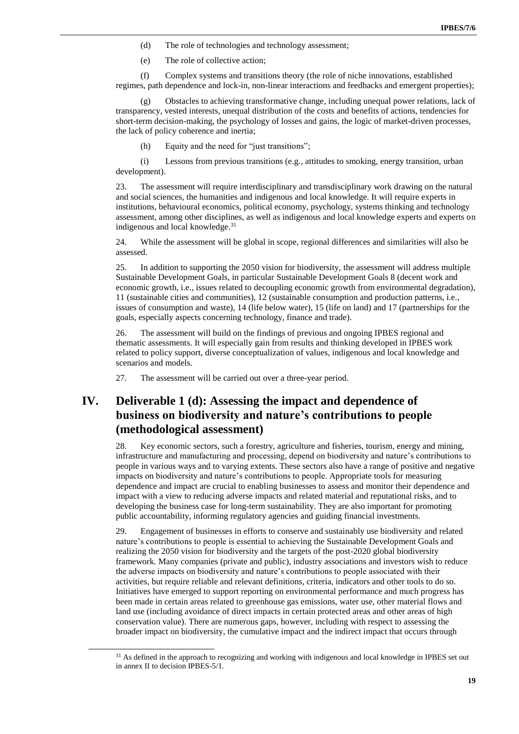- (d) The role of technologies and technology assessment;
- (e) The role of collective action;

(f) Complex systems and transitions theory (the role of niche innovations, established regimes, path dependence and lock-in, non-linear interactions and feedbacks and emergent properties);

(g) Obstacles to achieving transformative change, including unequal power relations, lack of transparency, vested interests, unequal distribution of the costs and benefits of actions, tendencies for short-term decision-making, the psychology of losses and gains, the logic of market-driven processes, the lack of policy coherence and inertia;

(h) Equity and the need for "just transitions";

(i) Lessons from previous transitions (e.g., attitudes to smoking, energy transition, urban development).

23. The assessment will require interdisciplinary and transdisciplinary work drawing on the natural and social sciences, the humanities and indigenous and local knowledge. It will require experts in institutions, behavioural economics, political economy, psychology, systems thinking and technology assessment, among other disciplines, as well as indigenous and local knowledge experts and experts on indigenous and local knowledge.<sup>31</sup>

24. While the assessment will be global in scope, regional differences and similarities will also be assessed.

25. In addition to supporting the 2050 vision for biodiversity, the assessment will address multiple Sustainable Development Goals, in particular Sustainable Development Goals 8 (decent work and economic growth, i.e., issues related to decoupling economic growth from environmental degradation), 11 (sustainable cities and communities), 12 (sustainable consumption and production patterns, i.e., issues of consumption and waste), 14 (life below water), 15 (life on land) and 17 (partnerships for the goals, especially aspects concerning technology, finance and trade).

26. The assessment will build on the findings of previous and ongoing IPBES regional and thematic assessments. It will especially gain from results and thinking developed in IPBES work related to policy support, diverse conceptualization of values, indigenous and local knowledge and scenarios and models.

27. The assessment will be carried out over a three-year period.

 $\overline{a}$ 

# **IV. Deliverable 1 (d): Assessing the impact and dependence of business on biodiversity and nature's contributions to people (methodological assessment)**

28. Key economic sectors, such a forestry, agriculture and fisheries, tourism, energy and mining, infrastructure and manufacturing and processing, depend on biodiversity and nature's contributions to people in various ways and to varying extents. These sectors also have a range of positive and negative impacts on biodiversity and nature's contributions to people. Appropriate tools for measuring dependence and impact are crucial to enabling businesses to assess and monitor their dependence and impact with a view to reducing adverse impacts and related material and reputational risks, and to developing the business case for long-term sustainability. They are also important for promoting public accountability, informing regulatory agencies and guiding financial investments.

29. Engagement of businesses in efforts to conserve and sustainably use biodiversity and related nature's contributions to people is essential to achieving the Sustainable Development Goals and realizing the 2050 vision for biodiversity and the targets of the post-2020 global biodiversity framework. Many companies (private and public), industry associations and investors wish to reduce the adverse impacts on biodiversity and nature's contributions to people associated with their activities, but require reliable and relevant definitions, criteria, indicators and other tools to do so. Initiatives have emerged to support reporting on environmental performance and much progress has been made in certain areas related to greenhouse gas emissions, water use, other material flows and land use (including avoidance of direct impacts in certain protected areas and other areas of high conservation value). There are numerous gaps, however, including with respect to assessing the broader impact on biodiversity, the cumulative impact and the indirect impact that occurs through

<sup>&</sup>lt;sup>31</sup> As defined in the approach to recognizing and working with indigenous and local knowledge in IPBES set out in annex II to decision IPBES-5/1.